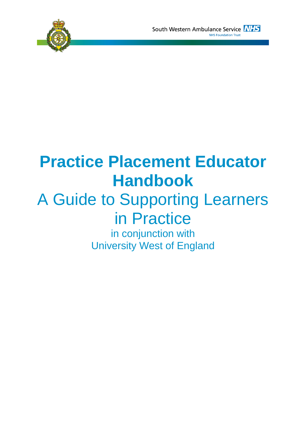

# **Practice Placement Educator Handbook**

# A Guide to Supporting Learners in Practice

in conjunction with University West of England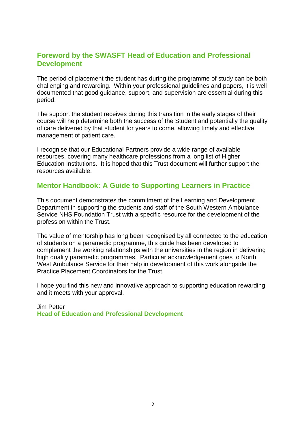#### **Foreword by the SWASFT Head of Education and Professional Development**

The period of placement the student has during the programme of study can be both challenging and rewarding. Within your professional guidelines and papers, it is well documented that good guidance, support, and supervision are essential during this period.

The support the student receives during this transition in the early stages of their course will help determine both the success of the Student and potentially the quality of care delivered by that student for years to come, allowing timely and effective management of patient care.

I recognise that our Educational Partners provide a wide range of available resources, covering many healthcare professions from a long list of Higher Education Institutions. It is hoped that this Trust document will further support the resources available.

#### **Mentor Handbook: A Guide to Supporting Learners in Practice**

This document demonstrates the commitment of the Learning and Development Department in supporting the students and staff of the South Western Ambulance Service NHS Foundation Trust with a specific resource for the development of the profession within the Trust.

The value of mentorship has long been recognised by all connected to the education of students on a paramedic programme, this guide has been developed to complement the working relationships with the universities in the region in delivering high quality paramedic programmes. Particular acknowledgement goes to North West Ambulance Service for their help in development of this work alongside the Practice Placement Coordinators for the Trust.

I hope you find this new and innovative approach to supporting education rewarding and it meets with your approval.

#### Jim Petter **Head of Education and Professional Development**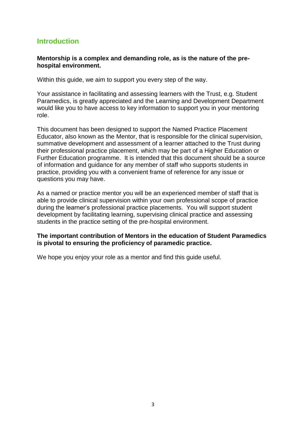#### **Introduction**

#### **Mentorship is a complex and demanding role, as is the nature of the prehospital environment.**

Within this guide, we aim to support you every step of the way.

Your assistance in facilitating and assessing learners with the Trust, e.g. Student Paramedics, is greatly appreciated and the Learning and Development Department would like you to have access to key information to support you in your mentoring role.

This document has been designed to support the Named Practice Placement Educator, also known as the Mentor, that is responsible for the clinical supervision, summative development and assessment of a learner attached to the Trust during their professional practice placement, which may be part of a Higher Education or Further Education programme. It is intended that this document should be a source of information and guidance for any member of staff who supports students in practice, providing you with a convenient frame of reference for any issue or questions you may have.

As a named or practice mentor you will be an experienced member of staff that is able to provide clinical supervision within your own professional scope of practice during the learner's professional practice placements. You will support student development by facilitating learning, supervising clinical practice and assessing students in the practice setting of the pre-hospital environment.

#### **The important contribution of Mentors in the education of Student Paramedics is pivotal to ensuring the proficiency of paramedic practice.**

We hope you enjoy your role as a mentor and find this guide useful.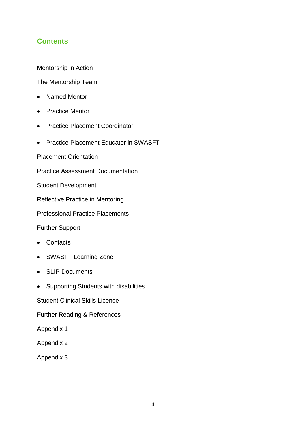## **Contents**

Mentorship in Action

The Mentorship Team

- Named Mentor
- Practice Mentor
- Practice Placement Coordinator
- Practice Placement Educator in SWASFT
- Placement Orientation

Practice Assessment Documentation

Student Development

Reflective Practice in Mentoring

Professional Practice Placements

Further Support

- Contacts
- SWASFT Learning Zone
- SLIP Documents
- Supporting Students with disabilities

Student Clinical Skills Licence

Further Reading & References

- Appendix 1
- Appendix 2
- Appendix 3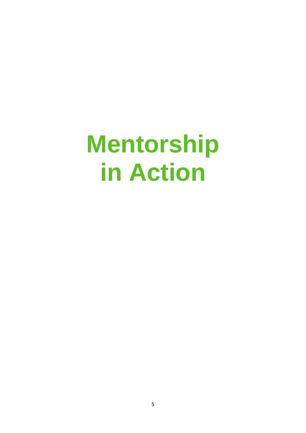# **Mentorship in Action**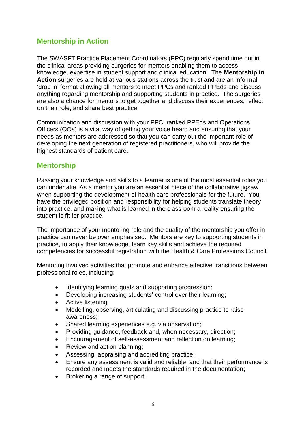## **Mentorship in Action**

The SWASFT Practice Placement Coordinators (PPC) regularly spend time out in the clinical areas providing surgeries for mentors enabling them to access knowledge, expertise in student support and clinical education. The **Mentorship in Action** surgeries are held at various stations across the trust and are an informal 'drop in' format allowing all mentors to meet PPCs and ranked PPEds and discuss anything regarding mentorship and supporting students in practice. The surgeries are also a chance for mentors to get together and discuss their experiences, reflect on their role, and share best practice.

Communication and discussion with your PPC, ranked PPEds and Operations Officers (OOs) is a vital way of getting your voice heard and ensuring that your needs as mentors are addressed so that you can carry out the important role of developing the next generation of registered practitioners, who will provide the highest standards of patient care.

#### **Mentorship**

Passing your knowledge and skills to a learner is one of the most essential roles you can undertake. As a mentor you are an essential piece of the collaborative jigsaw when supporting the development of health care professionals for the future. You have the privileged position and responsibility for helping students translate theory into practice, and making what is learned in the classroom a reality ensuring the student is fit for practice.

The importance of your mentoring role and the quality of the mentorship you offer in practice can never be over emphasised. Mentors are key to supporting students in practice, to apply their knowledge, learn key skills and achieve the required competencies for successful registration with the Health & Care Professions Council.

Mentoring involved activities that promote and enhance effective transitions between professional roles, including:

- Identifying learning goals and supporting progression;
- Developing increasing students' control over their learning;
- Active listening:
- Modelling, observing, articulating and discussing practice to raise awareness;
- Shared learning experiences e.g. via observation;
- Providing guidance, feedback and, when necessary, direction;
- Encouragement of self-assessment and reflection on learning;
- Review and action planning;
- Assessing, appraising and accrediting practice;
- Ensure any assessment is valid and reliable, and that their performance is recorded and meets the standards required in the documentation;
- Brokering a range of support.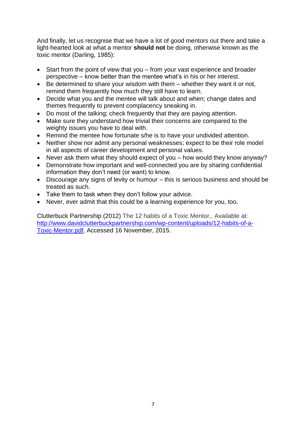And finally, let us recognise that we have a lot of good mentors out there and take a light-hearted look at what a mentor **should not** be doing, otherwise known as the toxic mentor (Darling, 1985):

- Start from the point of view that you from your vast experience and broader perspective – know better than the mentee what's in his or her interest.
- Be determined to share your wisdom with them whether they want it or not, remind them frequently how much they still have to learn.
- Decide what you and the mentee will talk about and when; change dates and themes frequently to prevent complacency sneaking in.
- Do most of the talking; check frequently that they are paying attention.
- Make sure they understand how trivial their concerns are compared to the weighty issues you have to deal with.
- Remind the mentee how fortunate s/he is to have your undivided attention.
- Neither show nor admit any personal weaknesses; expect to be their role model in all aspects of career development and personal values.
- Never ask them what they should expect of you how would they know anyway?
- Demonstrate how important and well-connected you are by sharing confidential information they don't need (or want) to know.
- Discourage any signs of levity or humour this is serious business and should be treated as such.
- Take them to task when they don't follow your advice.
- Never, ever admit that this could be a learning experience for you, too.

Clutterbuck Partnership (2012) The 12 habits of a Toxic Mentor,. Available at: [http://www.davidclutterbuckpartnership.com/wp-content/uploads/12-habits-of-a-](http://www.davidclutterbuckpartnership.com/wp-content/uploads/12-habits-of-a-Toxic-Mentor.pdf)[Toxic-Mentor.pdf,](http://www.davidclutterbuckpartnership.com/wp-content/uploads/12-habits-of-a-Toxic-Mentor.pdf) Accessed 16 November, 2015.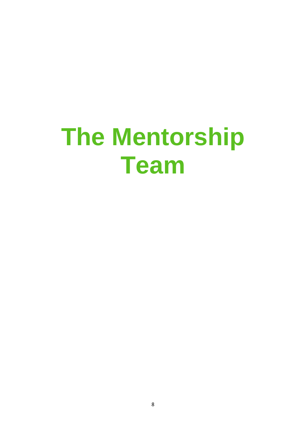# **The Mentorship Team**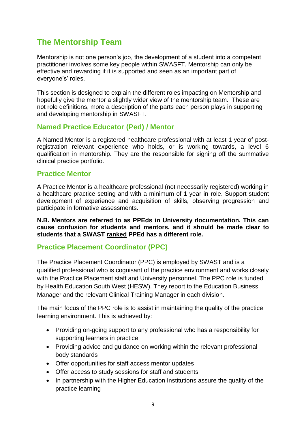# **The Mentorship Team**

Mentorship is not one person's job, the development of a student into a competent practitioner involves some key people within SWASFT. Mentorship can only be effective and rewarding if it is supported and seen as an important part of everyone's' roles.

This section is designed to explain the different roles impacting on Mentorship and hopefully give the mentor a slightly wider view of the mentorship team. These are not role definitions, more a description of the parts each person plays in supporting and developing mentorship in SWASFT.

#### **Named Practice Educator (Ped) / Mentor**

A Named Mentor is a registered healthcare professional with at least 1 year of postregistration relevant experience who holds, or is working towards, a level 6 qualification in mentorship. They are the responsible for signing off the summative clinical practice portfolio.

#### **Practice Mentor**

A Practice Mentor is a healthcare professional (not necessarily registered) working in a healthcare practice setting and with a minimum of 1 year in role. Support student development of experience and acquisition of skills, observing progression and participate in formative assessments.

**N.B. Mentors are referred to as PPEds in University documentation. This can cause confusion for students and mentors, and it should be made clear to students that a SWAST ranked PPEd has a different role.** 

#### **Practice Placement Coordinator (PPC)**

The Practice Placement Coordinator (PPC) is employed by SWAST and is a qualified professional who is cognisant of the practice environment and works closely with the Practice Placement staff and University personnel. The PPC role is funded by Health Education South West (HESW). They report to the Education Business Manager and the relevant Clinical Training Manager in each division.

The main focus of the PPC role is to assist in maintaining the quality of the practice learning environment. This is achieved by:

- Providing on-going support to any professional who has a responsibility for supporting learners in practice
- Providing advice and guidance on working within the relevant professional body standards
- Offer opportunities for staff access mentor updates
- Offer access to study sessions for staff and students
- In partnership with the Higher Education Institutions assure the quality of the practice learning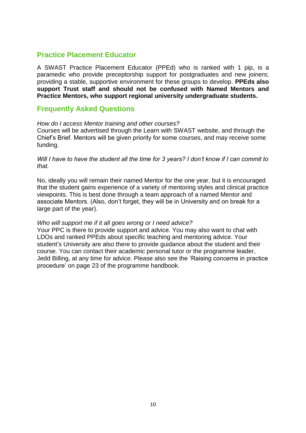#### **Practice Placement Educator**

A SWAST Practice Placement Educator (PPEd) who is ranked with 1 pip, is a paramedic who provide preceptorship support for postgraduates and new joiners; providing a stable, supportive environment for these groups to develop. **PPEds also support Trust staff and should not be confused with Named Mentors and Practice Mentors, who support regional university undergraduate students.**

#### **Frequently Asked Questions**

#### *How do I access Mentor training and other courses?*

Courses will be advertised through the Learn with SWAST website, and through the Chief's Brief. Mentors will be given priority for some courses, and may receive some funding.

*Will I have to have the student all the time for 3 years? I don't know if I can commit to that.*

No, ideally you will remain their named Mentor for the one year, but it is encouraged that the student gains experience of a variety of mentoring styles and clinical practice viewpoints. This is best done through a team approach of a named Mentor and associate Mentors. (Also, don't forget, they will be in University and on break for a large part of the year).

#### *Who will support me if it all goes wrong or I need advice?*

Your PPC is there to provide support and advice. You may also want to chat with LDOs and ranked PPEds about specific teaching and mentoring advice. Your student's University are also there to provide guidance about the student and their course. You can contact their academic personal tutor or the programme leader, Jedd Billing, at any time for advice. Please also see the 'Raising concerns in practice procedure' on page 23 of the programme handbook.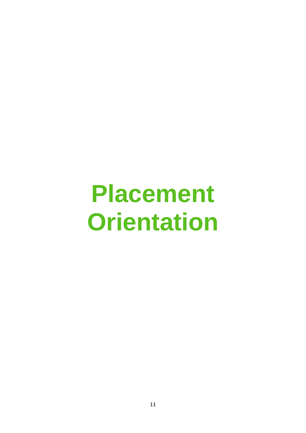# **Placement Orientation**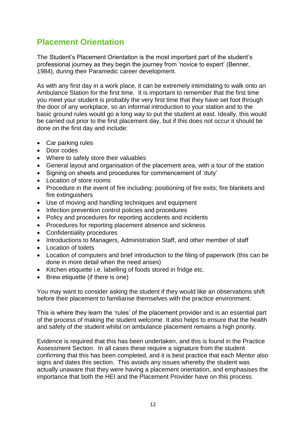# **Placement Orientation**

The Student's Placement Orientation is the most important part of the student's professional journey as they begin the journey from 'novice to expert' (Benner, 1984), during their Paramedic career development.

As with any first day in a work place, it can be extremely intimidating to walk onto an Ambulance Station for the first time. It is important to remember that the first time you meet your student is probably the very first time that they have set foot through the door of any workplace, so an informal introduction to your station and to the basic ground rules would go a long way to put the student at east. Ideally, this would be carried out prior to the first placement day, but if this does not occur it should be done on the first day and include:

- Car parking rules
- Door codes
- Where to safely store their valuables
- General layout and organisation of the placement area, with a tour of the station
- Signing on sheets and procedures for commencement of 'duty'
- Location of store rooms
- Procedure in the event of fire including: positioning of fire exits; fire blankets and fire extinguishers
- Use of moving and handling techniques and equipment
- Infection prevention control policies and procedures
- Policy and procedures for reporting accidents and incidents
- Procedures for reporting placement absence and sickness
- Confidentiality procedures
- Introductions to Managers, Administration Staff, and other member of staff
- Location of toilets
- Location of computers and brief introduction to the filing of paperwork (this can be done in more detail when the need arises)
- Kitchen etiquette i.e. labelling of foods stored in fridge etc.
- Brew etiquette (if there is one)

You may want to consider asking the student if they would like an observations shift before their placement to familiarise themselves with the practice environment.

This is where they learn the 'rules' of the placement provider and is an essential part of the process of making the student welcome. It also helps to ensure that the health and safety of the student whilst on ambulance placement remains a high priority.

Evidence is required that this has been undertaken, and this is found in the Practice Assessment Section. In all cases these require a signature from the student confirming that this has been completed, and it is best practice that each Mentor also signs and dates this section. This avoids any issues whereby the student was actually unaware that they were having a placement orientation, and emphasises the importance that both the HEI and the Placement Provider have on this process.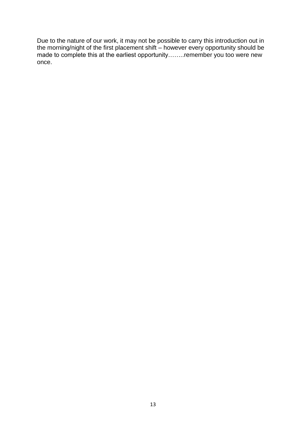Due to the nature of our work, it may not be possible to carry this introduction out in the morning/night of the first placement shift – however every opportunity should be made to complete this at the earliest opportunity……..remember you too were new once.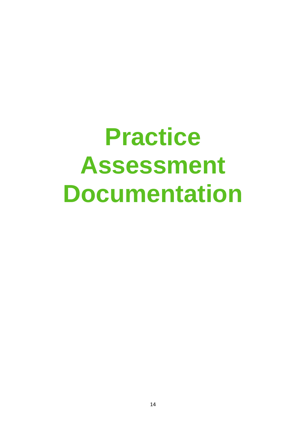# **Practice Assessment Documentation**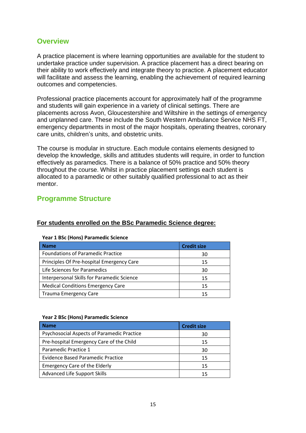#### **Overview**

A practice placement is where learning opportunities are available for the student to undertake practice under supervision. A practice placement has a direct bearing on their ability to work effectively and integrate theory to practice. A placement educator will facilitate and assess the learning, enabling the achievement of required learning outcomes and competencies.

Professional practice placements account for approximately half of the programme and students will gain experience in a variety of clinical settings. There are placements across Avon, Gloucestershire and Wiltshire in the settings of emergency and unplanned care. These include the South Western Ambulance Service NHS FT, emergency departments in most of the major hospitals, operating theatres, coronary care units, children's units, and obstetric units.

The course is modular in structure. Each module contains elements designed to develop the knowledge, skills and attitudes students will require, in order to function effectively as paramedics. There is a balance of 50% practice and 50% theory throughout the course. Whilst in practice placement settings each student is allocated to a paramedic or other suitably qualified professional to act as their mentor.

#### **Programme Structure**

| <b>I Car I DOC (HONO) Faranneald Science</b> |  |  |  |  |
|----------------------------------------------|--|--|--|--|
| <b>Credit size</b>                           |  |  |  |  |
| 30                                           |  |  |  |  |
| 15                                           |  |  |  |  |
| 30                                           |  |  |  |  |
| 15                                           |  |  |  |  |
| 15                                           |  |  |  |  |
| 15                                           |  |  |  |  |
|                                              |  |  |  |  |

**For students enrolled on the BSc Paramedic Science degree:**

#### **Year 1 BSc (Hons) Paramedic Science**

#### **Year 2 BSc (Hons) Paramedic Science**

| <b>Name</b>                                | <b>Credit size</b> |
|--------------------------------------------|--------------------|
| Psychosocial Aspects of Paramedic Practice | 30                 |
| Pre-hospital Emergency Care of the Child   | 15                 |
| Paramedic Practice 1                       | 30                 |
| Evidence Based Paramedic Practice          | 15                 |
| <b>Emergency Care of the Elderly</b>       | 15                 |
| Advanced Life Support Skills               | 15                 |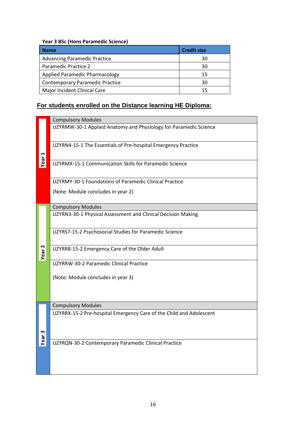#### **Year 3 BSc (Hons Paramedic Science)**

| <b>Name</b>                            | <b>Credit size</b> |
|----------------------------------------|--------------------|
| <b>Advancing Paramedic Practice</b>    | 30                 |
| Paramedic Practice 2                   | 30                 |
| Applied Paramedic Pharmacology         | 15                 |
| <b>Contemporary Paramedic Practice</b> | 30                 |
| Major Incident Clinical Care           | 15                 |

# **For students enrolled on the Distance learning HE Diploma:**

|                   | <b>Compulsory Modules</b>                                           |
|-------------------|---------------------------------------------------------------------|
|                   | UZYRMW-30-1 Applied Anatomy and Physiology for Paramedic Science    |
|                   | UZYRN4-15-1 The Essentials of Pre-hospital Emergency Practice       |
| Year <sub>1</sub> | UZYRMX-15-1 Communication Skills for Paramedic Science              |
|                   | UZYRMY-30-1 Foundations of Paramedic Clinical Practice              |
|                   | (Note: Module concludes in year 2)                                  |
|                   | <b>Compulsory Modules</b>                                           |
|                   | UZYRN3-30-1 Physical Assessment and Clinical Decision Making        |
|                   | UZYRS7-15-2 Psychosocial Studies for Paramedic Science              |
| Year <sub>2</sub> | UZYRR8-15-2 Emergency Care of the Older Adult                       |
|                   | UZYRRW-30-2 Paramedic Clinical Practice                             |
|                   | (Note: Module concludes in year 3)                                  |
|                   |                                                                     |
|                   | <b>Compulsory Modules</b>                                           |
| Year <sub>3</sub> | UZYRRX-15-2 Pre-hospital Emergency Care of the Child and Adolescent |
|                   | UZYRQN-30-2 Contemporary Paramedic Clinical Practice                |
|                   |                                                                     |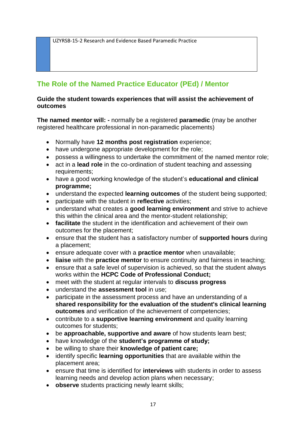UZYRSB-15-2 Research and Evidence Based Paramedic Practice

# **The Role of the Named Practice Educator (PEd) / Mentor**

#### **Guide the student towards experiences that will assist the achievement of outcomes**

**The named mentor will: -** normally be a registered **paramedic** (may be another registered healthcare professional in non-paramedic placements)

- Normally have **12 months post registration** experience;
- have undergone appropriate development for the role;
- possess a willingness to undertake the commitment of the named mentor role;
- act in a **lead role** in the co-ordination of student teaching and assessing requirements;
- have a good working knowledge of the student's **educational and clinical programme;**
- understand the expected **learning outcomes** of the student being supported;
- participate with the student in **reflective** activities;
- understand what creates a **good learning environment** and strive to achieve this within the clinical area and the mentor-student relationship;
- **facilitate** the student in the identification and achievement of their own outcomes for the placement;
- ensure that the student has a satisfactory number of **supported hours** during a placement;
- ensure adequate cover with a **practice mentor** when unavailable;
- **liaise** with the **practice mentor** to ensure continuity and fairness in teaching;
- ensure that a safe level of supervision is achieved, so that the student always works within the **HCPC Code of Professional Conduct;**
- meet with the student at regular intervals to **discuss progress**
- understand the **assessment tool** in use;
- participate in the assessment process and have an understanding of a **shared responsibility for the evaluation of the student's clinical learning outcomes** and verification of the achievement of competencies;
- contribute to a **supportive learning environment** and quality learning outcomes for students;
- be **approachable, supportive and aware** of how students learn best;
- have knowledge of the **student's programme of study;**
- be willing to share their **knowledge of patient care;**
- identify specific **learning opportunities** that are available within the placement area;
- ensure that time is identified for **interviews** with students in order to assess learning needs and develop action plans when necessary;
- **observe** students practicing newly learnt skills;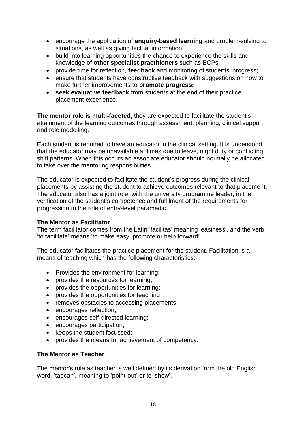- encourage the application of **enquiry-based learning** and problem-solving to situations, as well as giving factual information;
- build into learning opportunities the chance to experience the skills and knowledge of **other specialist practitioners** such as ECPs;
- provide time for reflection, **feedback** and monitoring of students' progress;
- ensure that students have constructive feedback with suggestions on how to make further improvements to **promote progress;**
- **seek evaluative feedback** from students at the end of their practice placement experience.

**The mentor role is multi-faceted,** they are expected to facilitate the student's attainment of the learning outcomes through assessment, planning, clinical support and role modelling.

Each student is required to have an educator in the clinical setting. It is understood that the educator may be unavailable at times due to leave, night duty or conflicting shift patterns. When this occurs an associate educator should normally be allocated to take over the mentoring responsibilities.

The educator is expected to facilitate the student's progress during the clinical placements by assisting the student to achieve outcomes relevant to that placement. The educator also has a joint role, with the university programme leader, in the verification of the student's competence and fulfilment of the requirements for progression to the role of entry-level paramedic.

#### **The Mentor as Facilitator**

The term facilitator comes from the Latin 'facilitas' meaning 'easiness', and the verb 'to facilitate' means 'to make easy, promote or help forward'.

The educator facilitates the practice placement for the student. Facilitation is a means of teaching which has the following characteristics:-

- Provides the environment for learning;
- provides the resources for learning;
- provides the opportunities for learning;
- provides the opportunities for teaching;
- removes obstacles to accessing placements;
- encourages reflection;
- encourages self-directed learning;
- encourages participation;
- keeps the student focussed;
- provides the means for achievement of competency.

#### **The Mentor as Teacher**

The mentor's role as teacher is well defined by its derivation from the old English word, 'taecan'*,* meaning to 'point-out' or to 'show'.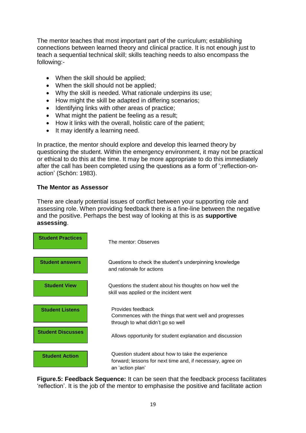The mentor teaches that most important part of the curriculum; establishing connections between learned theory and clinical practice. It is not enough just to teach a sequential technical skill; skills teaching needs to also encompass the following:-

- When the skill should be applied;
- When the skill should not be applied;
- Why the skill is needed. What rationale underpins its use;
- How might the skill be adapted in differing scenarios;
- Identifying links with other areas of practice;
- What might the patient be feeling as a result:
- How it links with the overall, holistic care of the patient;
- It may identify a learning need.

In practice, the mentor should explore and develop this learned theory by questioning the student. Within the emergency environment, it may not be practical or ethical to do this at the time. It may be more appropriate to do this immediately after the call has been completed using the questions as a form of ';reflection-onaction' (Schön: 1983).

#### **The Mentor as Assessor**

There are clearly potential issues of conflict between your supporting role and assessing role. When providing feedback there is a fine-line between the negative and the positive. Perhaps the best way of looking at this is as **supportive assessing**.



**Figure.5: Feedback Sequence:** It can be seen that the feedback process facilitates 'reflection'. It is the job of the mentor to emphasise the positive and facilitate action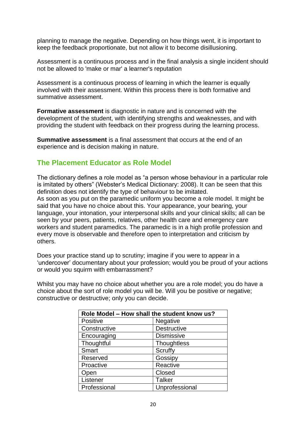planning to manage the negative. Depending on how things went, it is important to keep the feedback proportionate, but not allow it to become disillusioning.

Assessment is a continuous process and in the final analysis a single incident should not be allowed to 'make or mar' a learner's reputation

Assessment is a continuous process of learning in which the learner is equally involved with their assessment. Within this process there is both formative and summative assessment.

**Formative assessment** is diagnostic in nature and is concerned with the development of the student, with identifying strengths and weaknesses, and with providing the student with feedback on their progress during the learning process.

**Summative assessment** is a final assessment that occurs at the end of an experience and is decision making in nature.

### **The Placement Educator as Role Model**

The dictionary defines a role model as "a person whose behaviour in a particular role is imitated by others" (Webster's Medical Dictionary: 2008). It can be seen that this definition does not identify the type of behaviour to be imitated. As soon as you put on the paramedic uniform you become a role model. It might be said that you have no choice about this. Your appearance, your bearing, your language, your intonation, your interpersonal skills and your clinical skills; all can be seen by your peers, patients, relatives, other health care and emergency care workers and student paramedics. The paramedic is in a high profile profession and every move is observable and therefore open to interpretation and criticism by others.

Does your practice stand up to scrutiny; imagine if you were to appear in a 'undercover' documentary about your profession; would you be proud of your actions or would you squirm with embarrassment?

Whilst you may have no choice about whether you are a role model; you do have a choice about the sort of role model you will be. Will you be positive or negative; constructive or destructive; only you can decide.

| Role Model - How shall the student know us? |                    |  |  |
|---------------------------------------------|--------------------|--|--|
| <b>Positive</b>                             | Negative           |  |  |
| Constructive                                | <b>Destructive</b> |  |  |
| Encouraging                                 | <b>Dismissive</b>  |  |  |
| Thoughtful                                  | Thoughtless        |  |  |
| Smart                                       | Scruffy            |  |  |
| Reserved                                    | Gossipy            |  |  |
| Proactive                                   | Reactive           |  |  |
| Open                                        | Closed             |  |  |
| Listener                                    | <b>Talker</b>      |  |  |
| Professional                                | Unprofessional     |  |  |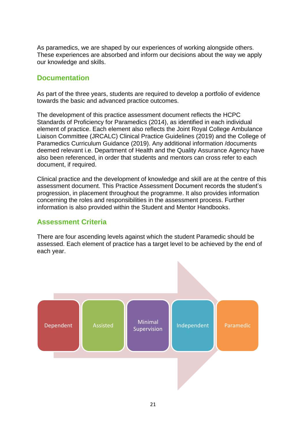As paramedics, we are shaped by our experiences of working alongside others. These experiences are absorbed and inform our decisions about the way we apply our knowledge and skills.

#### **Documentation**

As part of the three years, students are required to develop a portfolio of evidence towards the basic and advanced practice outcomes.

The development of this practice assessment document reflects the HCPC Standards of Proficiency for Paramedics (2014), as identified in each individual element of practice. Each element also reflects the Joint Royal College Ambulance Liaison Committee (JRCALC) Clinical Practice Guidelines (2019) and the College of Paramedics Curriculum Guidance (2019). Any additional information /documents deemed relevant i.e. Department of Health and the Quality Assurance Agency have also been referenced, in order that students and mentors can cross refer to each document, if required.

Clinical practice and the development of knowledge and skill are at the centre of this assessment document. This Practice Assessment Document records the student's progression, in placement throughout the programme. It also provides information concerning the roles and responsibilities in the assessment process. Further information is also provided within the Student and Mentor Handbooks.

#### **Assessment Criteria**

There are four ascending levels against which the student Paramedic should be assessed. Each element of practice has a target level to be achieved by the end of each year.

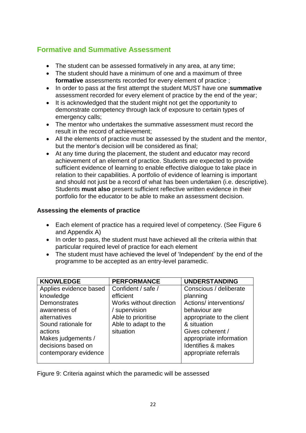# **Formative and Summative Assessment**

- The student can be assessed formatively in any area, at any time;
- The student should have a minimum of one and a maximum of three **formative** assessments recorded for every element of practice ;
- In order to pass at the first attempt the student MUST have one **summative**  assessment recorded for every element of practice by the end of the year;
- It is acknowledged that the student might not get the opportunity to demonstrate competency through lack of exposure to certain types of emergency calls;
- The mentor who undertakes the summative assessment must record the result in the record of achievement;
- All the elements of practice must be assessed by the student and the mentor, but the mentor's decision will be considered as final;
- At any time during the placement, the student and educator may record achievement of an element of practice. Students are expected to provide sufficient evidence of learning to enable effective dialogue to take place in relation to their capabilities. A portfolio of evidence of learning is important and should not just be a record of what has been undertaken (i.e. descriptive). Students **must also** present sufficient reflective written evidence in their portfolio for the educator to be able to make an assessment decision.

#### **Assessing the elements of practice**

- Each element of practice has a required level of competency. (See Figure 6 and Appendix A)
- In order to pass, the student must have achieved all the criteria within that particular required level of practice for each element
- The student must have achieved the level of 'Independent' by the end of the programme to be accepted as an entry-level paramedic.

| <b>KNOWLEDGE</b>       | <b>PERFORMANCE</b>      | <b>UNDERSTANDING</b>      |
|------------------------|-------------------------|---------------------------|
| Applies evidence based | Confident / safe /      | Conscious / deliberate    |
| knowledge              | efficient               | planning                  |
| Demonstrates           | Works without direction | Actions/ interventions/   |
| awareness of           | / supervision           | behaviour are             |
| alternatives           | Able to prioritise      | appropriate to the client |
| Sound rationale for    | Able to adapt to the    | & situation               |
| actions                | situation               | Gives coherent /          |
| Makes judgements /     |                         | appropriate information   |
| decisions based on     |                         | Identifies & makes        |
| contemporary evidence  |                         | appropriate referrals     |
|                        |                         |                           |

Figure 9: Criteria against which the paramedic will be assessed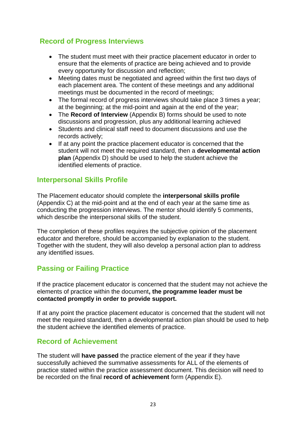## **Record of Progress Interviews**

- The student must meet with their practice placement educator in order to ensure that the elements of practice are being achieved and to provide every opportunity for discussion and reflection;
- Meeting dates must be negotiated and agreed within the first two days of each placement area. The content of these meetings and any additional meetings must be documented in the record of meetings;
- The formal record of progress interviews should take place 3 times a year; at the beginning; at the mid-point and again at the end of the year;
- The **Record of Interview** (Appendix B) forms should be used to note discussions and progression, plus any additional learning achieved
- Students and clinical staff need to document discussions and use the records actively;
- If at any point the practice placement educator is concerned that the student will not meet the required standard, then a **developmental action plan** (Appendix D) should be used to help the student achieve the identified elements of practice.

#### **Interpersonal Skills Profile**

The Placement educator should complete the **interpersonal skills profile**  (Appendix C) at the mid-point and at the end of each year at the same time as conducting the progression interviews. The mentor should identify 5 comments, which describe the interpersonal skills of the student.

The completion of these profiles requires the subjective opinion of the placement educator and therefore, should be accompanied by explanation to the student. Together with the student, they will also develop a personal action plan to address any identified issues.

# **Passing or Failing Practice**

If the practice placement educator is concerned that the student may not achieve the elements of practice within the document**, the programme leader must be contacted promptly in order to provide support.** 

If at any point the practice placement educator is concerned that the student will not meet the required standard, then a developmental action plan should be used to help the student achieve the identified elements of practice.

### **Record of Achievement**

The student will **have passed** the practice element of the year if they have successfully achieved the summative assessments for ALL of the elements of practice stated within the practice assessment document. This decision will need to be recorded on the final **record of achievement** form (Appendix E).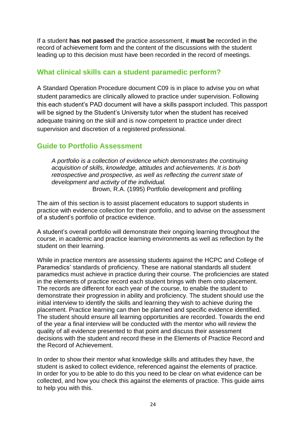If a student **has not passed** the practice assessment, it **must be** recorded in the record of achievement form and the content of the discussions with the student leading up to this decision must have been recorded in the record of meetings.

#### **What clinical skills can a student paramedic perform?**

A Standard Operation Procedure document C09 is in place to advise you on what student paramedics are clinically allowed to practice under supervision. Following this each student's PAD document will have a skills passport included. This passport will be signed by the Student's University tutor when the student has received adequate training on the skill and is now competent to practice under direct supervision and discretion of a registered professional.

#### **Guide to Portfolio Assessment**

*A portfolio is a collection of evidence which demonstrates the continuing acquisition of skills, knowledge, attitudes and achievements. It is both retrospective and prospective, as well as reflecting the current state of development and activity of the individual.* Brown, R.A. (1995) Portfolio development and profiling

The aim of this section is to assist placement educators to support students in practice with evidence collection for their portfolio, and to advise on the assessment of a student's portfolio of practice evidence.

A student's overall portfolio will demonstrate their ongoing learning throughout the course, in academic and practice learning environments as well as reflection by the student on their learning.

While in practice mentors are assessing students against the HCPC and College of Paramedics' standards of proficiency. These are national standards all student paramedics must achieve in practice during their course. The proficiencies are stated in the elements of practice record each student brings with them onto placement. The records are different for each year of the course, to enable the student to demonstrate their progression in ability and proficiency. The student should use the initial interview to identify the skills and learning they wish to achieve during the placement. Practice learning can then be planned and specific evidence identified. The student should ensure all learning opportunities are recorded. Towards the end of the year a final interview will be conducted with the mentor who will review the quality of all evidence presented to that point and discuss their assessment decisions with the student and record these in the Elements of Practice Record and the Record of Achievement.

In order to show their mentor what knowledge skills and attitudes they have, the student is asked to collect evidence, referenced against the elements of practice. In order for you to be able to do this you need to be clear on what evidence can be collected, and how you check this against the elements of practice. This guide aims to help you with this.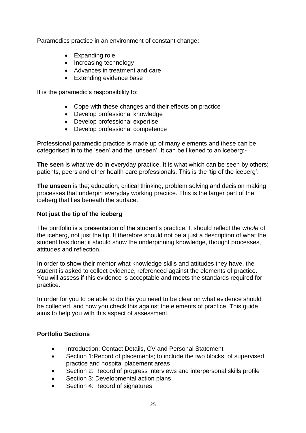Paramedics practice in an environment of constant change:

- Expanding role
- Increasing technology
- Advances in treatment and care
- Extending evidence base

It is the paramedic's responsibility to:

- Cope with these changes and their effects on practice
- Develop professional knowledge
- Develop professional expertise
- Develop professional competence

Professional paramedic practice is made up of many elements and these can be categorised in to the 'seen' and the 'unseen'. It can be likened to an iceberg:-

**The seen** is what we do in everyday practice. It is what which can be seen by others; patients, peers and other health care professionals. This is the 'tip of the iceberg'.

**The unseen** is the; education, critical thinking, problem solving and decision making processes that underpin everyday working practice. This is the larger part of the iceberg that lies beneath the surface.

#### **Not just the tip of the iceberg**

The portfolio is a presentation of the student's practice. It should reflect the *whole* of the iceberg, not just the tip. It therefore should not be a just a description of what the student has done; it should show the underpinning knowledge, thought processes, attitudes and reflection.

In order to show their mentor what knowledge skills and attitudes they have, the student is asked to collect evidence, referenced against the elements of practice. You will assess if this evidence is acceptable and meets the standards required for practice.

In order for you to be able to do this you need to be clear on what evidence should be collected, and how you check this against the elements of practice. This guide aims to help you with this aspect of assessment.

#### **Portfolio Sections**

- Introduction: Contact Details, CV and Personal Statement
- Section 1:Record of placements; to include the two blocks of supervised practice and hospital placement areas
- Section 2: Record of progress interviews and interpersonal skills profile
- Section 3: Developmental action plans
- Section 4: Record of signatures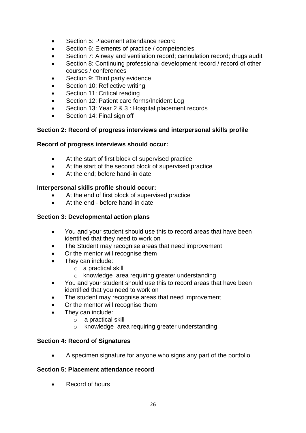- Section 5: Placement attendance record
- Section 6: Elements of practice / competencies
- Section 7: Airway and ventilation record; cannulation record; drugs audit
- Section 8: Continuing professional development record / record of other courses / conferences
- Section 9: Third party evidence
- Section 10: Reflective writing
- Section 11: Critical reading
- Section 12: Patient care forms/Incident Log
- Section 13: Year 2 & 3 : Hospital placement records
- Section 14: Final sign off

#### **Section 2: Record of progress interviews and interpersonal skills profile**

#### **Record of progress interviews should occur:**

- At the start of first block of supervised practice
- At the start of the second block of supervised practice
- At the end; before hand-in date

#### **Interpersonal skills profile should occur:**

- At the end of first block of supervised practice
- At the end before hand-in date

#### **Section 3: Developmental action plans**

- You and your student should use this to record areas that have been identified that they need to work on
- The Student may recognise areas that need improvement
- Or the mentor will recognise them
- They can include:
	- o a practical skill
	- o knowledge area requiring greater understanding
- You and your student should use this to record areas that have been identified that you need to work on
- The student may recognise areas that need improvement
- Or the mentor will recognise them
- They can include:
	- o a practical skill
	- o knowledge area requiring greater understanding

#### **Section 4: Record of Signatures**

• A specimen signature for anyone who signs any part of the portfolio

#### **Section 5: Placement attendance record**

• Record of hours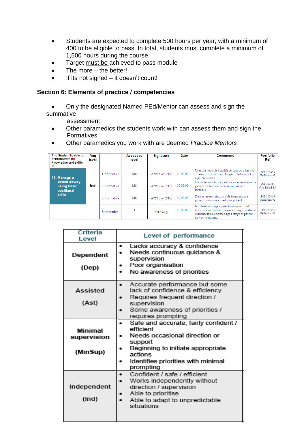- Students are expected to complete 500 hours per year, with a minimum of 400 to be eligible to pass. In total, students must complete a minimum of 1,500 hours during the course.
- Target must be achieved to pass module
- The more  $-$  the better!
- If its not signed it doesn't count!

#### **Section 6: Elements of practice / competencies**

• Only the designated Named PEd/Mentor can assess and sign the summative

assessment

- Other paramedics the students work with can assess them and sign the Formatives
- Other paramedics you work with are deemed *Practice Mentors*

| The Student is able to<br>demonstrate the<br>knowledge and skills<br>to: | Rea<br>level |                  | Assessed<br>level | <b>Signature</b>     | Date     | <b>Comments</b>                                                                                                                                                     | <b>Portfolio</b><br>Ref     |
|--------------------------------------------------------------------------|--------------|------------------|-------------------|----------------------|----------|---------------------------------------------------------------------------------------------------------------------------------------------------------------------|-----------------------------|
| 19. Manage a                                                             |              | 1. Formative     | MS                | APPEd or PPEd        | 00.00.00 | Uses the head tilt chin lift technique, after two<br>attempts and with coaching is able to maintain<br>a patent airway.                                             | PCF 123456<br>Reflection 02 |
| patent airway<br>using basic<br>positional                               | Ind          | 2. Formative     | MS                | <b>APPEd or PPEd</b> | 00.00.00 | Is able to maintain a patent airway on a trauma<br>patient while paramedic is preparing to<br>intubate.                                                             | PCF 123456<br>Crit Read 12  |
| skills                                                                   |              | 3. Formative     | MS                | <b>APPEd or PPEd</b> | 00.00.00 | During resuscitation is able to maintain a<br>patent airway on a paediatric patient.                                                                                | PCF 123456<br>Reflection 02 |
|                                                                          |              | <b>Summative</b> |                   | PPEd only            | 00.00.00 | Is able to manage a patent airway on a dult<br>unconscious diabetic patients. Using the above<br>evidence is able to manage a range of patent<br>airway situations. | PCF 123456<br>Reflection 02 |

| Criteria<br>Level                  | Level of performance                                                                                                                                                                                   |  |  |
|------------------------------------|--------------------------------------------------------------------------------------------------------------------------------------------------------------------------------------------------------|--|--|
| Dependent<br>(Dep)                 | Lacks accuracy & confidence<br>Needs continuous guidance &<br>supervision<br>Poor organisation<br>No awareness of priorities                                                                           |  |  |
| Assisted<br>(Ast)                  | Accurate performance but some<br>lack of confidence & efficiency.<br>Requires frequent direction /<br>supervision<br>Some awareness of priorities /<br>requires prompting                              |  |  |
| Minimal<br>supervision<br>(MinSup) | Safe and accurate; fairly confident /<br>۰<br>efficient<br>Needs occasional direction or<br>support<br>Beginning to initiate appropriate<br>actions<br>Identifies priorities with minimal<br>prompting |  |  |
| Independent<br>(Ind)               | Confident / safe / efficient<br>Works independently without<br>direction / supervision<br>Able to prioritise<br>Able to adapt to unpredictable<br>situations                                           |  |  |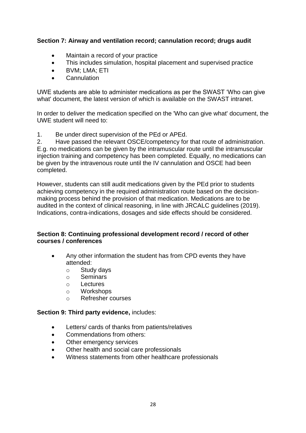#### **Section 7: Airway and ventilation record; cannulation record; drugs audit**

- Maintain a record of your practice
- This includes simulation, hospital placement and supervised practice
- BVM; LMA; ETI
- Cannulation

UWE students are able to administer medications as per the SWAST 'Who can give what' document, the latest version of which is available on the SWAST intranet.

In order to deliver the medication specified on the 'Who can give what' document, the UWE student will need to:

1. Be under direct supervision of the PEd or APEd.

2. Have passed the relevant OSCE/competency for that route of administration. E.g. no medications can be given by the intramuscular route until the intramuscular injection training and competency has been completed. Equally, no medications can be given by the intravenous route until the IV cannulation and OSCE had been completed.

However, students can still audit medications given by the PEd prior to students achieving competency in the required administration route based on the decisionmaking process behind the provision of that medication. Medications are to be audited in the context of clinical reasoning, in line with JRCALC guidelines (2019). Indications, contra-indications, dosages and side effects should be considered.

#### **Section 8: Continuing professional development record / record of other courses / conferences**

- Any other information the student has from CPD events they have attended:
	- o Study days
	- o Seminars
	- o Lectures
	- o Workshops
	- o Refresher courses

#### **Section 9: Third party evidence,** includes:

- Letters/ cards of thanks from patients/relatives
- Commendations from others:
- Other emergency services
- Other health and social care professionals
- Witness statements from other healthcare professionals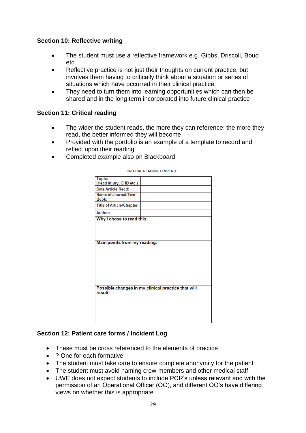#### **Section 10: Reflective writing**

- The student must use a reflective framework e.g. Gibbs, Driscoll, Boud etc.
- Reflective practice is not just their thoughts on current practice, but involves them having to critically think about a situation or series of situations which have occurred in their clinical practice;
- They need to turn them into learning opportunities which can then be shared and in the long term incorporated into future clinical practice

#### **Section 11: Critical reading**

- The wider the student reads, the more they can reference: the more they read, the better informed they will become
- Provided with the portfolio is an example of a template to record and reflect upon their reading
- Completed example also on Blackboard

| Topic:                           |                                                    |
|----------------------------------|----------------------------------------------------|
| (Head injury, CHD etc.)          |                                                    |
| Date Article Read:               |                                                    |
| Name of Journal/Text             |                                                    |
| Book:                            |                                                    |
| <b>Title of Article/Chapter:</b> |                                                    |
| Author:                          |                                                    |
| Why I chose to read this:        |                                                    |
|                                  |                                                    |
|                                  |                                                    |
|                                  |                                                    |
|                                  |                                                    |
|                                  |                                                    |
|                                  |                                                    |
| Main points from my reading:     |                                                    |
|                                  |                                                    |
|                                  |                                                    |
|                                  |                                                    |
|                                  |                                                    |
|                                  |                                                    |
|                                  |                                                    |
|                                  |                                                    |
|                                  |                                                    |
|                                  |                                                    |
|                                  |                                                    |
|                                  |                                                    |
|                                  |                                                    |
|                                  |                                                    |
|                                  |                                                    |
|                                  |                                                    |
|                                  |                                                    |
|                                  |                                                    |
|                                  | Possible changes in my clinical practice that will |
|                                  |                                                    |
|                                  |                                                    |
|                                  |                                                    |
|                                  |                                                    |
|                                  |                                                    |
| result:                          |                                                    |
|                                  |                                                    |
|                                  |                                                    |
|                                  |                                                    |
|                                  |                                                    |

**CRITICAL READING TEMPLATE** 

#### **Section 12: Patient care forms / Incident Log**

- These must be cross referenced to the elements of practice
- ? One for each formative
- The student must take care to ensure complete anonymity for the patient
- The student must avoid naming crew-members and other medical staff
- UWE does not expect students to include PCR's unless relevant and with the permission of an Operational Officer (OO), and different OO's have differing views on whether this is appropriate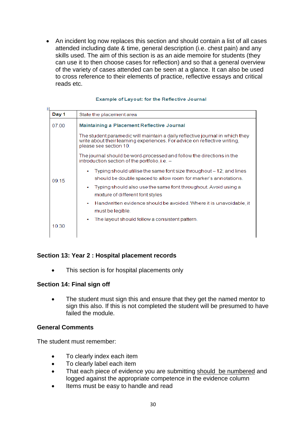• An incident log now replaces this section and should contain a list of all cases attended including date & time, general description (i.e. chest pain) and any skills used. The aim of this section is as an aide memoire for students (they can use it to then choose cases for reflection) and so that a general overview of the variety of cases attended can be seen at a glance. It can also be used to cross reference to their elements of practice, reflective essays and critical reads etc.

| ₽ |       |                                                                                                                                                                                     |  |  |  |  |  |
|---|-------|-------------------------------------------------------------------------------------------------------------------------------------------------------------------------------------|--|--|--|--|--|
|   | Day 1 | State the placement area                                                                                                                                                            |  |  |  |  |  |
|   | 07.00 | Maintaining a Placement Reflective Journal                                                                                                                                          |  |  |  |  |  |
|   |       | The student paramedic will maintain a daily reflective journal in which they<br>write about their learning experiences. For advice on reflective writing,<br>please see section 10. |  |  |  |  |  |
|   |       | The journal should be word-processed and follow the directions in the<br>introduction section of the portfolio, i.e. -                                                              |  |  |  |  |  |
|   | 09 15 | Typing should utilise the same font size throughout – 12; and lines<br>۰<br>should be double spaced to allow room for marker's annotations.                                         |  |  |  |  |  |
|   |       | Typing should also use the same font throughout. Avoid using a<br>mixture of different font styles                                                                                  |  |  |  |  |  |
|   |       | Handwritten evidence should be avoided. Where it is unavoidable, it<br>۰<br>must be legible.                                                                                        |  |  |  |  |  |
|   | 10.30 | The layout should follow a consistent pattern.                                                                                                                                      |  |  |  |  |  |

#### **Example of Layout: for the Reflective Journal**

#### **Section 13: Year 2 : Hospital placement records**

• This section is for hospital placements only

#### **Section 14: Final sign off**

• The student must sign this and ensure that they get the named mentor to sign this also. If this is not completed the student will be presumed to have failed the module.

#### **General Comments**

The student must remember:

- To clearly index each item
- To clearly label each item
- That each piece of evidence you are submitting should be numbered and logged against the appropriate competence in the evidence column
- Items must be easy to handle and read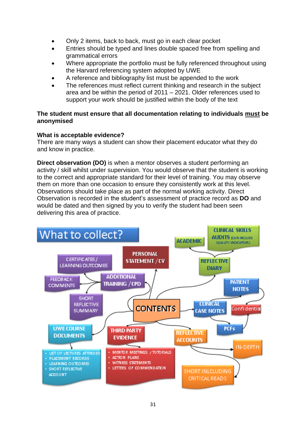- Only 2 items, back to back, must go in each clear pocket
- Entries should be typed and lines double spaced free from spelling and grammatical errors
- Where appropriate the portfolio must be fully referenced throughout using the Harvard referencing system adopted by UWE
- A reference and bibliography list must be appended to the work
- The references must reflect current thinking and research in the subject area and be within the period of 2011 – 2021. Older references used to support your work should be justified within the body of the text

#### **The student must ensure that all documentation relating to individuals must be anonymised**

#### **What is acceptable evidence?**

There are many ways a student can show their placement educator what they do and know in practice.

**Direct observation (DO)** is when a mentor observes a student performing an activity / skill whilst under supervision. You would observe that the student is working to the correct and appropriate standard for their level of training. You may observe them on more than one occasion to ensure they consistently work at this level. Observations should take place as part of the normal working activity. Direct Observation is recorded in the student's assessment of practice record as **DO** and would be dated and then signed by you to verify the student had been seen delivering this area of practice.

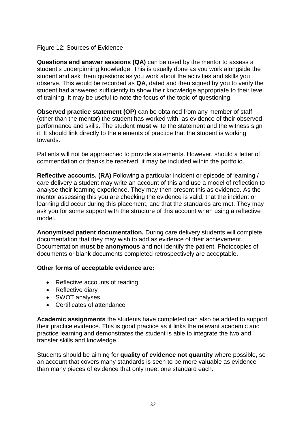#### Figure 12: Sources of Evidence

**Questions and answer sessions (QA)** can be used by the mentor to assess a student's underpinning knowledge. This is usually done as you work alongside the student and ask them questions as you work about the activities and skills you observe. This would be recorded as **QA**, dated and then signed by you to verify the student had answered sufficiently to show their knowledge appropriate to their level of training. It may be useful to note the focus of the topic of questioning.

**Observed practice statement (OP)** can be obtained from any member of staff (other than the mentor) the student has worked with, as evidence of their observed performance and skills. The student **must** write the statement and the witness sign it. It should link directly to the elements of practice that the student is working towards.

Patients will not be approached to provide statements. However, should a letter of commendation or thanks be received, it may be included within the portfolio.

**Reflective accounts. (RA)** Following a particular incident or episode of learning / care delivery a student may write an account of this and use a model of reflection to analyse their learning experience. They may then present this as evidence. As the mentor assessing this you are checking the evidence is valid, that the incident or learning did occur during this placement, and that the standards are met. They may ask you for some support with the structure of this account when using a reflective model.

**Anonymised patient documentation.** During care delivery students will complete documentation that they may wish to add as evidence of their achievement. Documentation **must be anonymous** and not identify the patient. Photocopies of documents or blank documents completed retrospectively are acceptable.

#### **Other forms of acceptable evidence are:**

- Reflective accounts of reading
- Reflective diary
- SWOT analyses
- Certificates of attendance

**Academic assignments** the students have completed can also be added to support their practice evidence. This is good practice as it links the relevant academic and practice learning and demonstrates the student is able to integrate the two and transfer skills and knowledge.

Students should be aiming for **quality of evidence not quantity** where possible, so an account that covers many standards is seen to be more valuable as evidence than many pieces of evidence that only meet one standard each.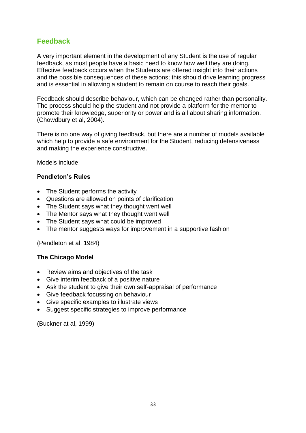### **Feedback**

A very important element in the development of any Student is the use of regular feedback, as most people have a basic need to know how well they are doing. Effective feedback occurs when the Students are offered insight into their actions and the possible consequences of these actions; this should drive learning progress and is essential in allowing a student to remain on course to reach their goals.

Feedback should describe behaviour, which can be changed rather than personality. The process should help the student and not provide a platform for the mentor to promote their knowledge, superiority or power and is all about sharing information. (Chowdbury et al, 2004).

There is no one way of giving feedback, but there are a number of models available which help to provide a safe environment for the Student, reducing defensiveness and making the experience constructive.

Models include:

#### **Pendleton's Rules**

- The Student performs the activity
- Questions are allowed on points of clarification
- The Student says what they thought went well
- The Mentor says what they thought went well
- The Student says what could be improved
- The mentor suggests ways for improvement in a supportive fashion

(Pendleton et al, 1984)

#### **The Chicago Model**

- Review aims and objectives of the task
- Give interim feedback of a positive nature
- Ask the student to give their own self-appraisal of performance
- Give feedback focussing on behaviour
- Give specific examples to illustrate views
- Suggest specific strategies to improve performance

(Buckner at al, 1999)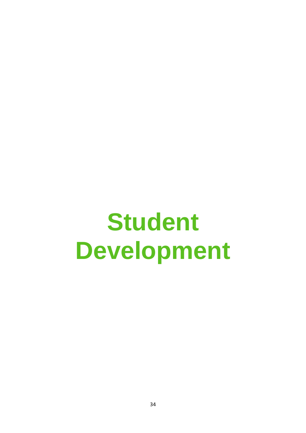# **Student Development**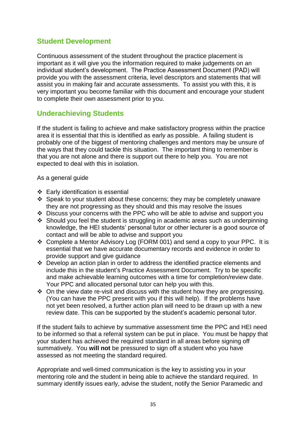### **Student Development**

Continuous assessment of the student throughout the practice placement is important as it will give you the information required to make judgements on an individual student's development. The Practice Assessment Document (PAD) will provide you with the assessment criteria, level descriptors and statements that will assist you in making fair and accurate assessments. To assist you with this, it is very important you become familiar with this document and encourage your student to complete their own assessment prior to you.

### **Underachieving Students**

If the student is failing to achieve and make satisfactory progress within the practice area it is essential that this is identified as early as possible. A failing student is probably one of the biggest of mentoring challenges and mentors may be unsure of the ways that they could tackle this situation. The important thing to remember is that you are not alone and there is support out there to help you. You are not expected to deal with this in isolation.

As a general guide

- ❖ Early identification is essential
- ❖ Speak to your student about these concerns; they may be completely unaware they are not progressing as they should and this may resolve the issues
- ❖ Discuss your concerns with the PPC who will be able to advise and support you
- ❖ Should you feel the student is struggling in academic areas such as underpinning knowledge, the HEI students' personal tutor or other lecturer is a good source of contact and will be able to advise and support you
- ❖ Complete a Mentor Advisory Log (FORM 001) and send a copy to your PPC. It is essential that we have accurate documentary records and evidence in order to provide support and give guidance
- ❖ Develop an action plan in order to address the identified practice elements and include this in the student's Practice Assessment Document. Try to be specific and make achievable learning outcomes with a time for completion/review date. Your PPC and allocated personal tutor can help you with this.
- ❖ On the view date re-visit and discuss with the student how they are progressing. (You can have the PPC present with you if this will help). If the problems have not yet been resolved, a further action plan will need to be drawn up with a new review date. This can be supported by the student's academic personal tutor.

If the student fails to achieve by summative assessment time the PPC and HEI need to be informed so that a referral system can be put in place. You must be happy that your student has achieved the required standard in all areas before signing off summatively. You **will not** be pressured to sign off a student who you have assessed as not meeting the standard required.

Appropriate and well-timed communication is the key to assisting you in your mentoring role and the student in being able to achieve the standard required. In summary identify issues early, advise the student, notify the Senior Paramedic and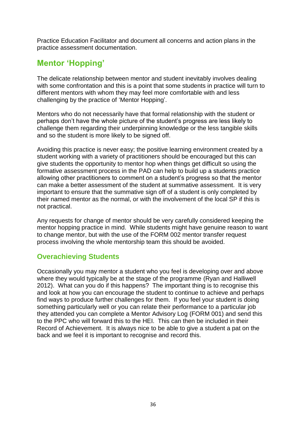Practice Education Facilitator and document all concerns and action plans in the practice assessment documentation.

# **Mentor 'Hopping'**

The delicate relationship between mentor and student inevitably involves dealing with some confrontation and this is a point that some students in practice will turn to different mentors with whom they may feel more comfortable with and less challenging by the practice of 'Mentor Hopping'.

Mentors who do not necessarily have that formal relationship with the student or perhaps don't have the whole picture of the student's progress are less likely to challenge them regarding their underpinning knowledge or the less tangible skills and so the student is more likely to be signed off.

Avoiding this practice is never easy; the positive learning environment created by a student working with a variety of practitioners should be encouraged but this can give students the opportunity to mentor hop when things get difficult so using the formative assessment process in the PAD can help to build up a students practice allowing other practitioners to comment on a student's progress so that the mentor can make a better assessment of the student at summative assessment. It is very important to ensure that the summative sign off of a student is only completed by their named mentor as the normal, or with the involvement of the local SP if this is not practical.

Any requests for change of mentor should be very carefully considered keeping the mentor hopping practice in mind. While students might have genuine reason to want to change mentor, but with the use of the FORM 002 mentor transfer request process involving the whole mentorship team this should be avoided.

# **Overachieving Students**

Occasionally you may mentor a student who you feel is developing over and above where they would typically be at the stage of the programme (Ryan and Halliwell 2012). What can you do if this happens? The important thing is to recognise this and look at how you can encourage the student to continue to achieve and perhaps find ways to produce further challenges for them. If you feel your student is doing something particularly well or you can relate their performance to a particular job they attended you can complete a Mentor Advisory Log (FORM 001) and send this to the PPC who will forward this to the HEI. This can then be included in their Record of Achievement. It is always nice to be able to give a student a pat on the back and we feel it is important to recognise and record this.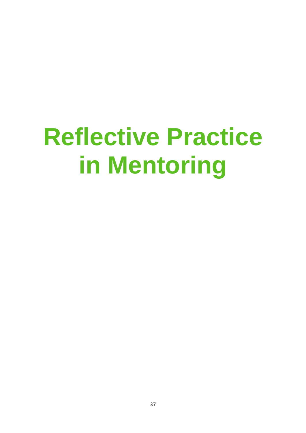# **Reflective Practice in Mentoring**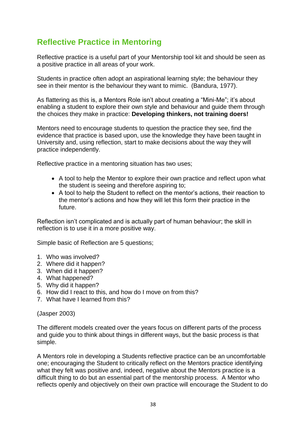# **Reflective Practice in Mentoring**

Reflective practice is a useful part of your Mentorship tool kit and should be seen as a positive practice in all areas of your work.

Students in practice often adopt an aspirational learning style; the behaviour they see in their mentor is the behaviour they want to mimic. (Bandura, 1977).

As flattering as this is, a Mentors Role isn't about creating a "Mini-Me"; it's about enabling a student to explore their own style and behaviour and guide them through the choices they make in practice: **Developing thinkers, not training doers!**

Mentors need to encourage students to question the practice they see, find the evidence that practice is based upon, use the knowledge they have been taught in University and, using reflection, start to make decisions about the way they will practice independently.

Reflective practice in a mentoring situation has two uses;

- A tool to help the Mentor to explore their own practice and reflect upon what the student is seeing and therefore aspiring to;
- A tool to help the Student to reflect on the mentor's actions, their reaction to the mentor's actions and how they will let this form their practice in the future.

Reflection isn't complicated and is actually part of human behaviour; the skill in reflection is to use it in a more positive way.

Simple basic of Reflection are 5 questions;

- 1. Who was involved?
- 2. Where did it happen?
- 3. When did it happen?
- 4. What happened?
- 5. Why did it happen?
- 6. How did I react to this, and how do I move on from this?
- 7. What have I learned from this?

(Jasper 2003)

The different models created over the years focus on different parts of the process and guide you to think about things in different ways, but the basic process is that simple.

A Mentors role in developing a Students reflective practice can be an uncomfortable one; encouraging the Student to critically reflect on the Mentors practice identifying what they felt was positive and, indeed, negative about the Mentors practice is a difficult thing to do but an essential part of the mentorship process. A Mentor who reflects openly and objectively on their own practice will encourage the Student to do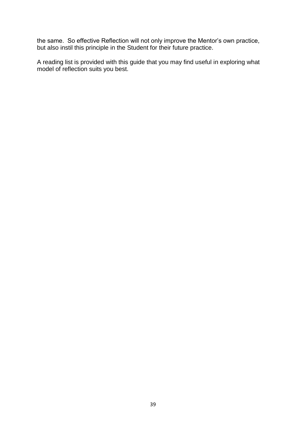the same. So effective Reflection will not only improve the Mentor's own practice, but also instil this principle in the Student for their future practice.

A reading list is provided with this guide that you may find useful in exploring what model of reflection suits you best.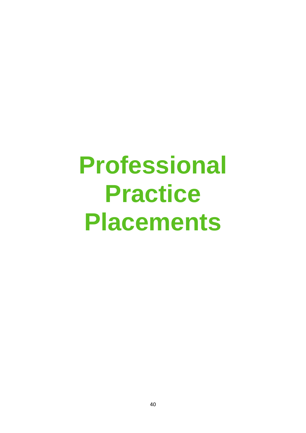# **Professional Practice Placements**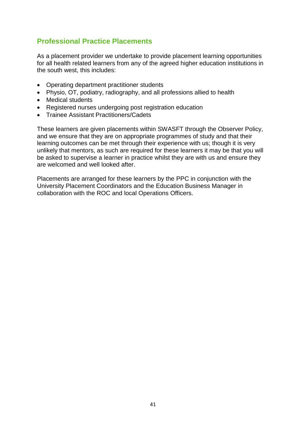### **Professional Practice Placements**

As a placement provider we undertake to provide placement learning opportunities for all health related learners from any of the agreed higher education institutions in the south west, this includes:

- Operating department practitioner students
- Physio, OT, podiatry, radiography, and all professions allied to health
- Medical students
- Registered nurses undergoing post registration education
- Trainee Assistant Practitioners/Cadets

These learners are given placements within SWASFT through the Observer Policy, and we ensure that they are on appropriate programmes of study and that their learning outcomes can be met through their experience with us; though it is very unlikely that mentors, as such are required for these learners it may be that you will be asked to supervise a learner in practice whilst they are with us and ensure they are welcomed and well looked after.

Placements are arranged for these learners by the PPC in conjunction with the University Placement Coordinators and the Education Business Manager in collaboration with the ROC and local Operations Officers.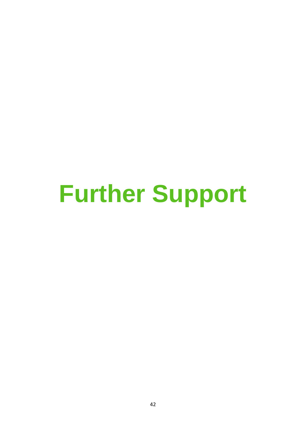# **Further Support**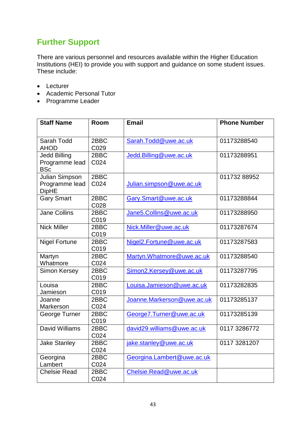# **Further Support**

There are various personnel and resources available within the Higher Education Institutions (HEI) to provide you with support and guidance on some student issues. These include:

- Lecturer
- Academic Personal Tutor
- Programme Leader

| <b>Staff Name</b>              | Room         | <b>Email</b>               | <b>Phone Number</b> |
|--------------------------------|--------------|----------------------------|---------------------|
|                                |              |                            |                     |
| Sarah Todd                     | 2BBC         | Sarah.Todd@uwe.ac.uk       | 01173288540         |
| <b>AHOD</b>                    | C029         |                            |                     |
| <b>Jedd Billing</b>            | 2BBC         | Jedd.Billing@uwe.ac.uk     | 01173288951         |
| Programme lead<br><b>BSc</b>   | C024         |                            |                     |
| <b>Julian Simpson</b>          | 2BBC         |                            | 01173288952         |
| Programme lead<br><b>DipHE</b> | C024         | Julian.simpson@uwe.ac.uk   |                     |
| <b>Gary Smart</b>              | 2BBC         | Gary.Smart@uwe.ac.uk       | 01173288844         |
|                                | C028         |                            |                     |
| <b>Jane Collins</b>            | 2BBC         | Jane5.Collins@uwe.ac.uk    | 01173288950         |
|                                | C019         |                            |                     |
| <b>Nick Miller</b>             | 2BBC         | Nick.Miller@uwe.ac.uk      | 01173287674         |
|                                | C019         |                            |                     |
| <b>Nigel Fortune</b>           | 2BBC         | Nigel2.Fortune@uwe.ac.uk   | 01173287583         |
|                                | C019         |                            |                     |
| Martyn                         | 2BBC         | Martyn.Whatmore@uwe.ac.uk  | 01173288540         |
| Whatmore                       | C024         |                            |                     |
| Simon Kersey                   | 2BBC         | Simon2.Kersey@uwe.ac.uk    | 01173287795         |
|                                | C019         |                            |                     |
| Louisa                         | 2BBC         | Louisa.Jamieson@uwe.ac.uk  | 01173282835         |
| Jamieson                       | C019         |                            |                     |
| Joanne                         | 2BBC         | Joanne.Markerson@uwe.ac.uk | 01173285137         |
| Markerson                      | C024         |                            |                     |
| George Turner                  | 2BBC         | George7.Turner@uwe.ac.uk   | 01173285139         |
| David Williams                 | C019<br>2BBC |                            |                     |
|                                | C024         | david29.williams@uwe.ac.uk | 0117 3286772        |
|                                | 2BBC         |                            | 0117 3281207        |
| <b>Jake Stanley</b>            | C024         | jake.stanley@uwe.ac.uk     |                     |
| Georgina                       | 2BBC         | Georgina.Lambert@uwe.ac.uk |                     |
| Lambert                        | C024         |                            |                     |
| <b>Chelsie Read</b>            | 2BBC         | Chelsie.Read@uwe.ac.uk     |                     |
|                                | C024         |                            |                     |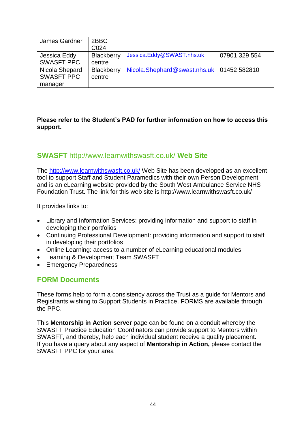| James Gardner     | 2BBC              |                                             |               |
|-------------------|-------------------|---------------------------------------------|---------------|
|                   | C <sub>024</sub>  |                                             |               |
| Jessica Eddy      | <b>Blackberry</b> | Jessica.Eddy@SWAST.nhs.uk                   | 07901 329 554 |
| <b>SWASFT PPC</b> | centre            |                                             |               |
| Nicola Shepard    | <b>Blackberry</b> | Nicola.Shephard@swast.nhs.uk   01452 582810 |               |
| <b>SWASFT PPC</b> | centre            |                                             |               |
| manager           |                   |                                             |               |

#### **Please refer to the Student's PAD for further information on how to access this support.**

### **SWASFT** <http://www.learnwithswasft.co.uk/> **Web Site**

The<http://www.learnwithswasft.co.uk/> Web Site has been developed as an excellent tool to support Staff and Student Paramedics with their own Person Development and is an eLearning website provided by the South West Ambulance Service NHS Foundation Trust. The link for this web site is http://www.learnwithswasft.co.uk/

It provides links to:

- Library and Information Services: providing information and support to staff in developing their portfolios
- Continuing Professional Development: providing information and support to staff in developing their portfolios
- Online Learning: access to a number of eLearning educational modules
- Learning & Development Team SWASFT
- Emergency Preparedness

### **FORM Documents**

These forms help to form a consistency across the Trust as a guide for Mentors and Registrants wishing to Support Students in Practice. FORMS are available through the PPC.

This **Mentorship in Action server** page can be found on a conduit whereby the SWASFT Practice Education Coordinators can provide support to Mentors within SWASFT, and thereby, help each individual student receive a quality placement. If you have a query about any aspect of **Mentorship in Action,** please contact the SWASFT PPC for your area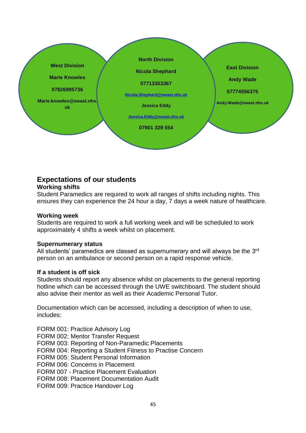

# **Expectations of our students**

#### **Working shifts**

Student Paramedics are required to work all ranges of shifts including nights. This ensures they can experience the 24 hour a day, 7 days a week nature of healthcare.

#### **Working week**

Students are required to work a full working week and will be scheduled to work approximately 4 shifts a week whilst on placement.

#### **Supernumerary status**

All students' paramedics are classed as supernumerary and will always be the  $3<sup>rd</sup>$ person on an ambulance or second person on a rapid response vehicle.

#### **If a student is off sick**

Students should report any absence whilst on placements to the general reporting hotline which can be accessed through the UWE switchboard. The student should also advise their mentor as well as their Academic Personal Tutor.

Documentation which can be accessed, including a description of when to use, includes:

FORM 001: Practice Advisory Log

FORM 002: Mentor Transfer Request

FORM 003: Reporting of Non-Paramedic Placements

FORM 004: Reporting a Student Fitness to Practise Concern

FORM 005: Student Personal Information

FORM 006: Concerns in Placement

FORM 007 - Practice Placement Evaluation

FORM 008: Placement Documentation Audit

FORM 009: Practice Handover Log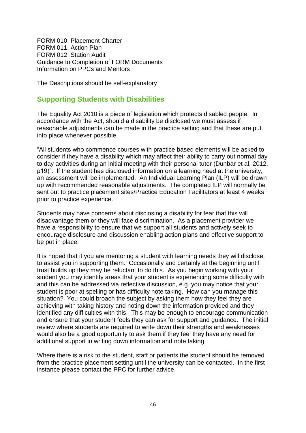FORM 010: Placement Charter FORM 011: Action Plan FORM 012: Station Audit Guidance to Completion of FORM Documents Information on PPCs and Mentors

The Descriptions should be self-explanatory

#### **Supporting Students with Disabilities**

The Equality Act 2010 is a piece of legislation which protects disabled people. In accordance with the Act, should a disability be disclosed we must assess if reasonable adjustments can be made in the practice setting and that these are put into place whenever possible.

"All students who commence courses with practice based elements will be asked to consider if they have a disability which may affect their ability to carry out normal day to day activities during an initial meeting with their personal tutor (Dunbar et al, 2012, p19)". If the student has disclosed information on a learning need at the university, an assessment will be implemented. An Individual Learning Plan (ILP) will be drawn up with recommended reasonable adjustments. The completed ILP will normally be sent out to practice placement sites/Practice Education Facilitators at least 4 weeks prior to practice experience.

Students may have concerns about disclosing a disability for fear that this will disadvantage them or they will face discrimination. As a placement provider we have a responsibility to ensure that we support all students and actively seek to encourage disclosure and discussion enabling action plans and effective support to be put in place.

It is hoped that if you are mentoring a student with learning needs they will disclose, to assist you in supporting them. Occasionally and certainly at the beginning until trust builds up they may be reluctant to do this. As you begin working with your student you may identify areas that your student is experiencing some difficulty with and this can be addressed via reflective discussion, e.g. you may notice that your student is poor at spelling or has difficulty note taking. How can you manage this situation? You could broach the subject by asking them how they feel they are achieving with taking history and noting down the information provided and they identified any difficulties with this. This may be enough to encourage communication and ensure that your student feels they can ask for support and guidance. The initial review where students are required to write down their strengths and weaknesses would also be a good opportunity to ask them if they feel they have any need for additional support in writing down information and note taking.

Where there is a risk to the student, staff or patients the student should be removed from the practice placement setting until the university can be contacted. In the first instance please contact the PPC for further advice.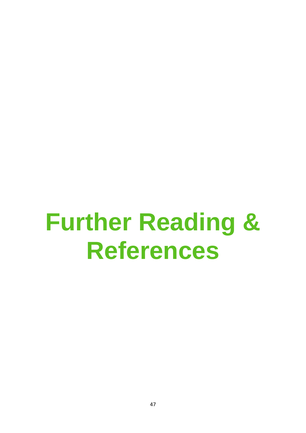# **Further Reading & References**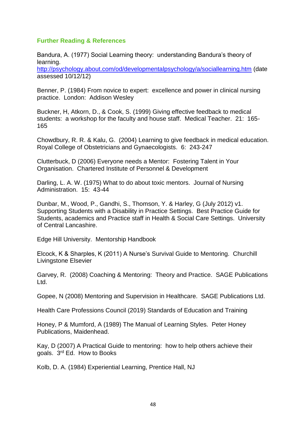#### **Further Reading & References**

Bandura, A. (1977) Social Learning theory: understanding Bandura's theory of learning.

<http://psychology.about.com/od/developmentalpsychology/a/sociallearning.htm> (date assessed 10/12/12)

Benner, P. (1984) From novice to expert: excellence and power in clinical nursing practice. London: Addison Wesley

Buckner, H, Atkorn, D., & Cook, S. (1999) Giving effective feedback to medical students: a workshop for the faculty and house staff. Medical Teacher. 21: 165- 165

Chowdbury, R. R. & Kalu, G. (2004) Learning to give feedback in medical education. Royal College of Obstetricians and Gynaecologists. 6: 243-247

Clutterbuck, D (2006) Everyone needs a Mentor: Fostering Talent in Your Organisation. Chartered Institute of Personnel & Development

Darling, L. A. W. (1975) What to do about toxic mentors. Journal of Nursing Administration. 15: 43-44

Dunbar, M., Wood, P., Gandhi, S., Thomson, Y. & Harley, G (July 2012) v1. Supporting Students with a Disability in Practice Settings. Best Practice Guide for Students, academics and Practice staff in Health & Social Care Settings. University of Central Lancashire.

Edge Hill University. Mentorship Handbook

Elcock, K & Sharples, K (2011) A Nurse's Survival Guide to Mentoring. Churchill Livingstone Elsevier

Garvey, R. (2008) Coaching & Mentoring: Theory and Practice. SAGE Publications Ltd.

Gopee, N (2008) Mentoring and Supervision in Healthcare. SAGE Publications Ltd.

Health Care Professions Council (2019) Standards of Education and Training

Honey, P & Mumford, A (1989) The Manual of Learning Styles. Peter Honey Publications, Maidenhead.

Kay, D (2007) A Practical Guide to mentoring: how to help others achieve their goals. 3rd Ed. How to Books

Kolb, D. A. (1984) Experiential Learning, Prentice Hall, NJ